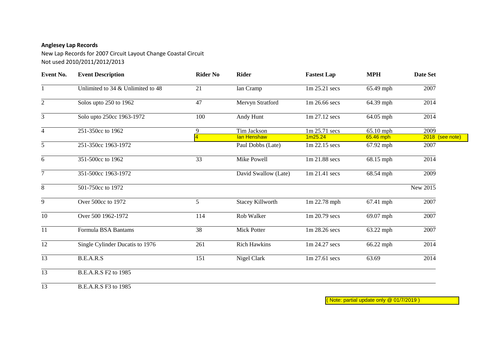## **Anglesey Lap Records**

New Lap Records for 2007 Circuit Layout Change Coastal Circuit Not used 2010/2011/2012/2013

| Event No.       | <b>Event Description</b>          | <b>Rider No</b>     | <b>Rider</b>               | <b>Fastest Lap</b>       | <b>MPH</b>             | <b>Date Set</b>         |
|-----------------|-----------------------------------|---------------------|----------------------------|--------------------------|------------------------|-------------------------|
|                 | Unlimited to 34 & Unlimited to 48 | 21                  | Ian Cramp                  | 1m 25.21 secs            | 65.49 mph              | 2007                    |
| $\overline{2}$  | Solos upto 250 to 1962            | 47                  | Mervyn Stratford           | 1m 26.66 secs            | 64.39 mph              | 2014                    |
| 3               | Solo upto 250cc 1963-1972         | 100                 | Andy Hunt                  | 1m 27.12 secs            | 64.05 mph              | 2014                    |
| $\overline{4}$  | 251-350cc to 1962                 | 9<br>$\overline{4}$ | Tim Jackson<br>lan Henshaw | 1m 25.71 secs<br>1m25.24 | 65.10 mph<br>65.46 mph | 2009<br>2018 (see note) |
| 5               | 251-350cc 1963-1972               |                     | Paul Dobbs (Late)          | 1m 22.15 secs            | 67.92 mph              | 2007                    |
| 6               | 351-500cc to 1962                 | 33                  | Mike Powell                | 1m 21.88 secs            | 68.15 mph              | 2014                    |
| $\tau$          | 351-500cc 1963-1972               |                     | David Swallow (Late)       | 1m 21.41 secs            | 68.54 mph              | 2009                    |
| 8               | 501-750cc to 1972                 |                     |                            |                          |                        | New 2015                |
| 9               | Over 500cc to 1972                | 5                   | <b>Stacey Killworth</b>    | $1m$ 22.78 mph           | 67.41 mph              | 2007                    |
| 10              | Over 500 1962-1972                | 114                 | Rob Walker                 | 1m 20.79 secs            | 69.07 mph              | 2007                    |
| 11              | Formula BSA Bantams               | 38                  | <b>Mick Potter</b>         | 1m 28.26 secs            | 63.22 mph              | 2007                    |
| 12              | Single Cylinder Ducatis to 1976   | 261                 | <b>Rich Hawkins</b>        | 1m 24.27 secs            | 66.22 mph              | 2014                    |
| $\overline{13}$ | <b>B.E.A.R.S</b>                  | 151                 | Nigel Clark                | 1m 27.61 secs            | 63.69                  | 2014                    |
| 13              | B.E.A.R.S F2 to 1985              |                     |                            |                          |                        |                         |
| 13              | B.E.A.R.S F3 to 1985              |                     |                            |                          |                        |                         |

( Note: partial update only @ 01/7/2019 )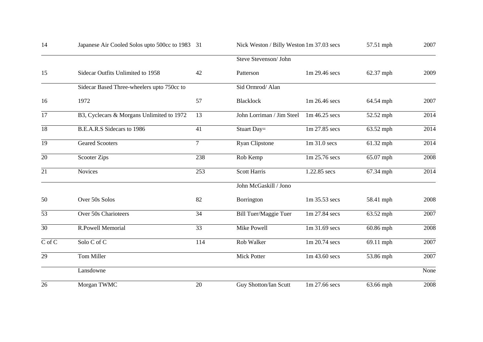| 14              | Japanese Air Cooled Solos upto 500cc to 1983 31 | Nick Weston / Billy Weston 1m 37.03 secs |                           |               | 57.51 mph | 2007 |
|-----------------|-------------------------------------------------|------------------------------------------|---------------------------|---------------|-----------|------|
|                 | Steve Stevenson/ John                           |                                          |                           |               |           |      |
| 15              | Sidecar Outfits Unlimited to 1958               | 42                                       | Patterson                 | 1m 29.46 secs | 62.37 mph | 2009 |
|                 | Sidecar Based Three-wheelers upto 750cc to      |                                          | Sid Ormrod/ Alan          |               |           |      |
| 16              | 1972                                            | 57                                       | <b>Blacklock</b>          | 1m 26.46 secs | 64.54 mph | 2007 |
| 17              | B3, Cyclecars & Morgans Unlimited to 1972       | 13                                       | John Lorriman / Jim Steel | 1m 46.25 secs | 52.52 mph | 2014 |
| 18              | B.E.A.R.S Sidecars to 1986                      | 41                                       | Stuart Day=               | 1m 27.85 secs | 63.52 mph | 2014 |
| $\overline{19}$ | <b>Geared Scooters</b>                          | $\overline{7}$                           | <b>Ryan Clipstone</b>     | 1m 31.0 secs  | 61.32 mph | 2014 |
| 20              | <b>Scooter Zips</b>                             | 238                                      | Rob Kemp                  | 1m 25.76 secs | 65.07 mph | 2008 |
| $\overline{21}$ | <b>Novices</b>                                  | $\overline{253}$                         | <b>Scott Harris</b>       | 1.22.85 secs  | 67.34 mph | 2014 |
|                 |                                                 |                                          | John McGaskill / Jono     |               |           |      |
| 50              | Over 50s Solos                                  | 82                                       | Borrington                | 1m 35.53 secs | 58.41 mph | 2008 |
| 53              | Over 50s Charioteers                            | 34                                       | Bill Tuer/Maggie Tuer     | 1m 27.84 secs | 63.52 mph | 2007 |
| $\overline{30}$ | R.Powell Memorial                               | $\overline{33}$                          | <b>Mike Powell</b>        | 1m 31.69 secs | 60.86 mph | 2008 |
| C of C          | $\overline{\text{Solo}}\text{C}$ of $\text{C}$  | 114                                      | Rob Walker                | 1m 20.74 secs | 69.11 mph | 2007 |
| 29              | Tom Miller                                      |                                          | <b>Mick Potter</b>        | 1m 43.60 secs | 53.86 mph | 2007 |
|                 | Lansdowne                                       |                                          |                           |               |           | None |
| 26              | Morgan TWMC                                     | 20                                       | Guy Shotton/Ian Scutt     | 1m 27.66 secs | 63.66 mph | 2008 |